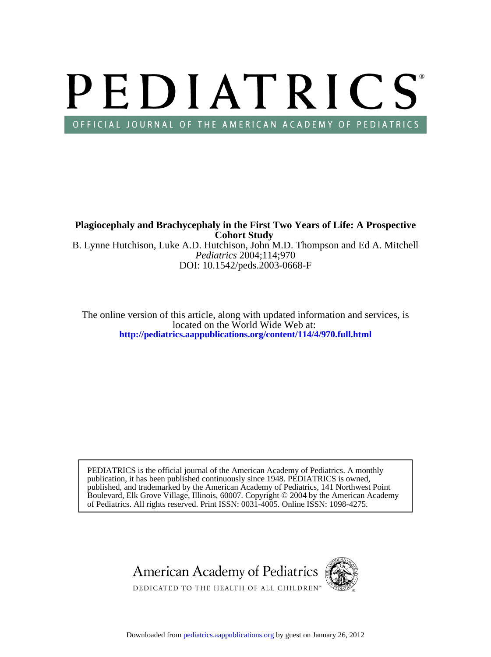# PEDIATRICS OFFICIAL JOURNAL OF THE AMERICAN ACADEMY OF PEDIATRICS

DOI: 10.1542/peds.2003-0668-F *Pediatrics* 2004;114;970 B. Lynne Hutchison, Luke A.D. Hutchison, John M.D. Thompson and Ed A. Mitchell **Cohort Study Plagiocephaly and Brachycephaly in the First Two Years of Life: A Prospective**

**<http://pediatrics.aappublications.org/content/114/4/970.full.html>** located on the World Wide Web at: The online version of this article, along with updated information and services, is

of Pediatrics. All rights reserved. Print ISSN: 0031-4005. Online ISSN: 1098-4275. Boulevard, Elk Grove Village, Illinois, 60007. Copyright © 2004 by the American Academy published, and trademarked by the American Academy of Pediatrics, 141 Northwest Point publication, it has been published continuously since 1948. PEDIATRICS is owned, PEDIATRICS is the official journal of the American Academy of Pediatrics. A monthly



Downloaded from [pediatrics.aappublications.org](http://pediatrics.aappublications.org/) by guest on January 26, 2012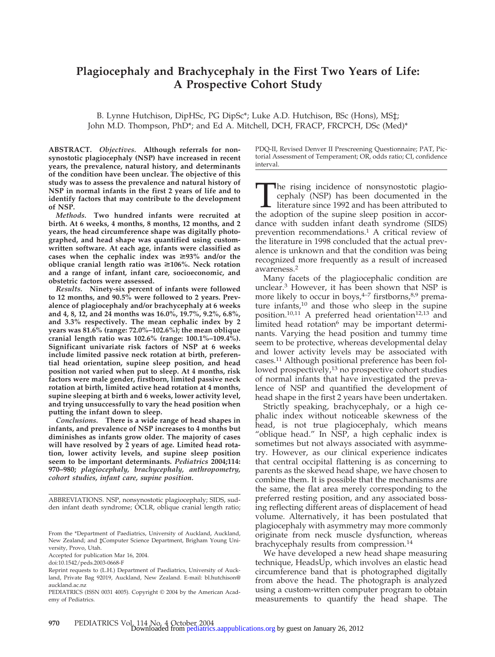## **Plagiocephaly and Brachycephaly in the First Two Years of Life: A Prospective Cohort Study**

B. Lynne Hutchison, DipHSc, PG DipSc\*; Luke A.D. Hutchison, BSc (Hons), MS‡; John M.D. Thompson, PhD\*; and Ed A. Mitchell, DCH, FRACP, FRCPCH, DSc (Med)\*

**ABSTRACT.** *Objectives.* **Although referrals for nonsynostotic plagiocephaly (NSP) have increased in recent years, the prevalence, natural history, and determinants of the condition have been unclear. The objective of this study was to assess the prevalence and natural history of NSP in normal infants in the first 2 years of life and to identify factors that may contribute to the development of NSP.**

*Methods.* **Two hundred infants were recruited at birth. At 6 weeks, 4 months, 8 months, 12 months, and 2 years, the head circumference shape was digitally photographed, and head shape was quantified using customwritten software. At each age, infants were classified as** cases when the cephalic index was  $\geq$ 93% and/or the **oblique cranial length ratio was ≥106%. Neck rotation and a range of infant, infant care, socioeconomic, and obstetric factors were assessed.**

*Results.* **Ninety-six percent of infants were followed to 12 months, and 90.5% were followed to 2 years. Prevalence of plagiocephaly and/or brachycephaly at 6 weeks and 4, 8, 12, and 24 months was 16.0%, 19.7%, 9.2%, 6.8%, and 3.3% respectively. The mean cephalic index by 2 years was 81.6% (range: 72.0%–102.6%); the mean oblique cranial length ratio was 102.6% (range: 100.1%–109.4%). Significant univariate risk factors of NSP at 6 weeks include limited passive neck rotation at birth, preferential head orientation, supine sleep position, and head position not varied when put to sleep. At 4 months, risk factors were male gender, firstborn, limited passive neck rotation at birth, limited active head rotation at 4 months, supine sleeping at birth and 6 weeks, lower activity level, and trying unsuccessfully to vary the head position when putting the infant down to sleep.**

*Conclusions.* **There is a wide range of head shapes in infants, and prevalence of NSP increases to 4 months but diminishes as infants grow older. The majority of cases will have resolved by 2 years of age. Limited head rotation, lower activity levels, and supine sleep position seem to be important determinants.** *Pediatrics* **2004;114: 970–980;** *plagiocephaly, brachycephaly, anthropometry, cohort studies, infant care, supine position.*

ABBREVIATIONS. NSP, nonsynostotic plagiocephaly; SIDS, sudden infant death syndrome; OCLR, oblique cranial length ratio;

Accepted for publication Mar 16, 2004.

doi:10.1542/peds.2003-0668-F

PDQ-II, Revised Denver II Prescreening Questionnaire; PAT, Pictorial Assessment of Temperament; OR, odds ratio; CI, confidence interval.

The rising incidence of nonsynostotic plagio-<br>cephaly (NSP) has been documented in the<br>literature since 1992 and has been attributed to<br>the adoption of the supine sleep position in accorcephaly (NSP) has been documented in the literature since 1992 and has been attributed to the adoption of the supine sleep position in accordance with sudden infant death syndrome (SIDS) prevention recommendations.1 A critical review of the literature in 1998 concluded that the actual prevalence is unknown and that the condition was being recognized more frequently as a result of increased awareness.2

Many facets of the plagiocephalic condition are unclear.3 However, it has been shown that NSP is more likely to occur in boys, $4-7$  firstborns, $8.9$  premature infants,<sup>10</sup> and those who sleep in the supine position.<sup>10,11</sup> A preferred head orientation<sup>12,13</sup> and limited head rotation<sup>6</sup> may be important determinants. Varying the head position and tummy time seem to be protective, whereas developmental delay and lower activity levels may be associated with cases.11 Although positional preference has been followed prospectively, $13$  no prospective cohort studies of normal infants that have investigated the prevalence of NSP and quantified the development of head shape in the first 2 years have been undertaken.

Strictly speaking, brachycephaly, or a high cephalic index without noticeable skewness of the head, is not true plagiocephaly, which means "oblique head." In NSP, a high cephalic index is sometimes but not always associated with asymmetry. However, as our clinical experience indicates that central occipital flattening is as concerning to parents as the skewed head shape, we have chosen to combine them. It is possible that the mechanisms are the same, the flat area merely corresponding to the preferred resting position, and any associated bossing reflecting different areas of displacement of head volume. Alternatively, it has been postulated that plagiocephaly with asymmetry may more commonly originate from neck muscle dysfunction, whereas brachycephaly results from compression.<sup>14</sup>

We have developed a new head shape measuring technique, HeadsUp, which involves an elastic head circumference band that is photographed digitally from above the head. The photograph is analyzed using a custom-written computer program to obtain measurements to quantify the head shape. The

From the \*Department of Paediatrics, University of Auckland, Auckland, New Zealand; and ‡Computer Science Department, Brigham Young University, Provo, Utah.

Reprint requests to (L.H.) Department of Paediatrics, University of Auckland, Private Bag 92019, Auckland, New Zealand. E-mail: bl.hutchison@ auckland.ac.nz

PEDIATRICS (ISSN 0031 4005). Copyright © 2004 by the American Academy of Pediatrics.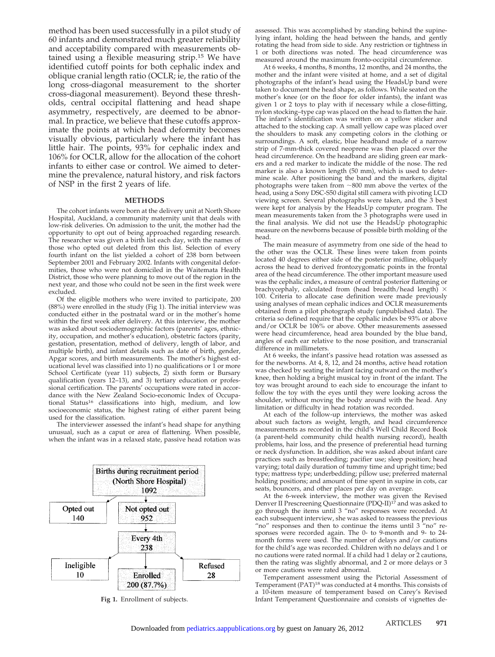method has been used successfully in a pilot study of 60 infants and demonstrated much greater reliability and acceptability compared with measurements obtained using a flexible measuring strip.15 We have identified cutoff points for both cephalic index and oblique cranial length ratio (OCLR; ie, the ratio of the long cross-diagonal measurement to the shorter cross-diagonal measurement). Beyond these thresholds, central occipital flattening and head shape asymmetry, respectively, are deemed to be abnormal. In practice, we believe that these cutoffs approximate the points at which head deformity becomes visually obvious, particularly where the infant has little hair. The points, 93% for cephalic index and 106% for OCLR, allow for the allocation of the cohort infants to either case or control. We aimed to determine the prevalence, natural history, and risk factors of NSP in the first 2 years of life.

#### **METHODS**

The cohort infants were born at the delivery unit at North Shore Hospital, Auckland, a community maternity unit that deals with low-risk deliveries. On admission to the unit, the mother had the opportunity to opt out of being approached regarding research. The researcher was given a birth list each day, with the names of those who opted out deleted from this list. Selection of every fourth infant on the list yielded a cohort of 238 born between September 2001 and February 2002. Infants with congenital deformities, those who were not domiciled in the Waitemata Health District, those who were planning to move out of the region in the next year, and those who could not be seen in the first week were excluded.

Of the eligible mothers who were invited to participate, 200 (88%) were enrolled in the study (Fig 1). The initial interview was conducted either in the postnatal ward or in the mother's home within the first week after delivery. At this interview, the mother was asked about sociodemographic factors (parents' ages, ethnicity, occupation, and mother's education), obstetric factors (parity, gestation, presentation, method of delivery, length of labor, and multiple birth), and infant details such as date of birth, gender, Apgar scores, and birth measurements. The mother's highest educational level was classified into 1) no qualifications or 1 or more School Certificate (year 11) subjects, 2) sixth form or Bursary qualification (years 12–13), and 3) tertiary education or professional certification. The parents' occupations were rated in accordance with the New Zealand Socio-economic Index of Occupational Status<sup>16</sup> classifications into high, medium, and low socioeconomic status, the highest rating of either parent being used for the classification.

The interviewer assessed the infant's head shape for anything unusual, such as a caput or area of flattening. When possible, when the infant was in a relaxed state, passive head rotation was



assessed. This was accomplished by standing behind the supinelying infant, holding the head between the hands, and gently rotating the head from side to side. Any restriction or tightness in 1 or both directions was noted. The head circumference was measured around the maximum fronto-occipital circumference.

At 6 weeks, 4 months, 8 months, 12 months, and 24 months, the mother and the infant were visited at home, and a set of digital photographs of the infant's head using the HeadsUp band were taken to document the head shape, as follows. While seated on the mother's knee (or on the floor for older infants), the infant was given 1 or 2 toys to play with if necessary while a close-fitting, nylon stocking–type cap was placed on the head to flatten the hair. The infant's identification was written on a yellow sticker and attached to the stocking cap. A small yellow cape was placed over the shoulders to mask any competing colors in the clothing or surroundings. A soft, elastic, blue headband made of a narrow strip of 7-mm-thick covered neoprene was then placed over the head circumference. On the headband are sliding green ear markers and a red marker to indicate the middle of the nose. The red marker is also a known length (50 mm), which is used to determine scale. After positioning the band and the markers, digital photographs were taken from  $\sim 800$  mm above the vertex of the head, using a Sony DSC-S50 digital still camera with pivoting LCD viewing screen. Several photographs were taken, and the 3 best were kept for analysis by the HeadsUp computer program. The mean measurements taken from the 3 photographs were used in the final analysis. We did not use the HeadsUp photographic measure on the newborns because of possible birth molding of the head.

The main measure of asymmetry from one side of the head to the other was the OCLR. These lines were taken from points located 40 degrees either side of the posterior midline, obliquely across the head to derived frontozygomatic points in the frontal area of the head circumference. The other important measure used was the cephalic index, a measure of central posterior flattening or brachycephaly, calculated from (head breadth/head length)  $\times$ 100. Criteria to allocate case definition were made previously using analyses of mean cephalic indices and OCLR measurements obtained from a pilot photograph study (unpublished data). The criteria so defined require that the cephalic index be 93% or above and/or OCLR be 106% or above. Other measurements assessed were head circumference, head area bounded by the blue band, angles of each ear relative to the nose position, and transcranial difference in millimeters.

At 6 weeks, the infant's passive head rotation was assessed as for the newborns. At 4, 8, 12, and 24 months, active head rotation was checked by seating the infant facing outward on the mother's knee, then holding a bright musical toy in front of the infant. The toy was brought around to each side to encourage the infant to follow the toy with the eyes until they were looking across the shoulder, without moving the body around with the head. Any limitation or difficulty in head rotation was recorded.

At each of the follow-up interviews, the mother was asked about such factors as weight, length, and head circumference measurements as recorded in the child's Well Child Record Book (a parent-held community child health nursing record), health problems, hair loss, and the presence of preferential head turning or neck dysfunction. In addition, she was asked about infant care practices such as breastfeeding; pacifier use; sleep position; head varying; total daily duration of tummy time and upright time; bed type; mattress type; underbedding; pillow use; preferred maternal holding positions; and amount of time spent in supine in cots, car seats, bouncers, and other places per day on average.

At the 6-week interview, the mother was given the Revised Denver II Prescreening Questionnaire (PDQ-II)<sup>17</sup> and was asked to go through the items until 3 "no" responses were recorded. At each subsequent interview, she was asked to reassess the previous "no" responses and then to continue the items until 3 "no" responses were recorded again. The 0- to 9-month and 9- to 24 month forms were used. The number of delays and/or cautions for the child's age was recorded. Children with no delays and 1 or no cautions were rated normal. If a child had 1 delay or 2 cautions, then the rating was slightly abnormal, and 2 or more delays or 3 or more cautions were rated abnormal.

Temperament assessment using the Pictorial Assessment of Temperament (PAT)<sup>18</sup> was conducted at 4 months. This consists of a 10-item measure of temperament based on Carey's Revised **Fig 1.** Enrollment of subjects. Infant Temperament Questionnaire and consists of vignettes de-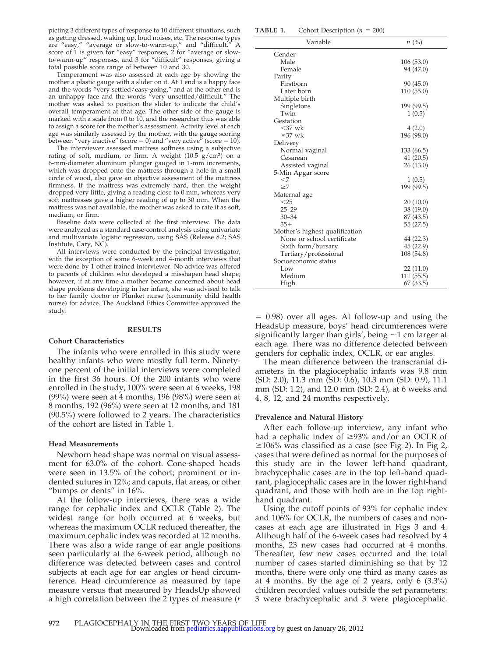picting 3 different types of response to 10 different situations, such as getting dressed, waking up, loud noises, etc. The response types are "easy," "average or slow-to-warm-up," and "difficult." score of 1 is given for "easy" responses, 2 for "average or slowto-warm-up" responses, and 3 for "difficult" responses, giving a total possible score range of between 10 and 30.

Temperament was also assessed at each age by showing the mother a plastic gauge with a slider on it. At 1 end is a happy face and the words "very settled/easy-going," and at the other end is an unhappy face and the words "very unsettled/difficult." The mother was asked to position the slider to indicate the child's overall temperament at that age. The other side of the gauge is marked with a scale from 0 to 10, and the researcher thus was able to assign a score for the mother's assessment. Activity level at each age was similarly assessed by the mother, with the gauge scoring between "very inactive" (score  $= 0$ ) and "very active" (score  $= 10$ ).

The interviewer assessed mattress softness using a subjective rating of soft, medium, or firm. A weight  $(10.5 \text{ g/cm}^2)$  on a 6-mm-diameter aluminum plunger gauged in 1-mm increments, which was dropped onto the mattress through a hole in a small circle of wood, also gave an objective assessment of the mattress firmness. If the mattress was extremely hard, then the weight dropped very little, giving a reading close to 0 mm, whereas very soft mattresses gave a higher reading of up to 30 mm. When the mattress was not available, the mother was asked to rate it as soft, medium, or firm.

Baseline data were collected at the first interview. The data were analyzed as a standard case-control analysis using univariate and multivariate logistic regression, using SAS (Release 8.2; SAS Institute, Cary, NC).

All interviews were conducted by the principal investigator, with the exception of some 6-week and 4-month interviews that were done by 1 other trained interviewer. No advice was offered to parents of children who developed a misshapen head shape; however, if at any time a mother became concerned about head shape problems developing in her infant, she was advised to talk to her family doctor or Plunket nurse (community child health nurse) for advice. The Auckland Ethics Committee approved the study.

#### **RESULTS**

#### **Cohort Characteristics**

The infants who were enrolled in this study were healthy infants who were mostly full term. Ninetyone percent of the initial interviews were completed in the first 36 hours. Of the 200 infants who were enrolled in the study, 100% were seen at 6 weeks, 198 (99%) were seen at 4 months, 196 (98%) were seen at 8 months, 192 (96%) were seen at 12 months, and 181 (90.5%) were followed to 2 years. The characteristics of the cohort are listed in Table 1.

#### **Head Measurements**

Newborn head shape was normal on visual assessment for 63.0% of the cohort. Cone-shaped heads were seen in 13.5% of the cohort; prominent or indented sutures in 12%; and caputs, flat areas, or other "bumps or dents" in 16%.

At the follow-up interviews, there was a wide range for cephalic index and OCLR (Table 2). The widest range for both occurred at 6 weeks, but whereas the maximum OCLR reduced thereafter, the maximum cephalic index was recorded at 12 months. There was also a wide range of ear angle positions seen particularly at the 6-week period, although no difference was detected between cases and control subjects at each age for ear angles or head circumference. Head circumference as measured by tape measure versus that measured by HeadsUp showed a high correlation between the 2 types of measure (*r*

**TABLE 1.** Cohort Description  $(n = 200)$ 

| Gender<br>Male<br>106(53.0)<br>Female<br>94 (47.0)<br>Parity<br>Firstborn<br>90 (45.0)<br>Later born<br>110(55.0) |
|-------------------------------------------------------------------------------------------------------------------|
|                                                                                                                   |
|                                                                                                                   |
|                                                                                                                   |
|                                                                                                                   |
|                                                                                                                   |
|                                                                                                                   |
| Multiple birth                                                                                                    |
| Singletons<br>199 (99.5)                                                                                          |
| Twin<br>1(0.5)                                                                                                    |
| Gestation                                                                                                         |
| $<$ 37 wk<br>4(2.0)                                                                                               |
| $\geq$ 37 wk<br>196 (98.0)                                                                                        |
| Delivery                                                                                                          |
| Normal vaginal<br>133 (66.5)                                                                                      |
| Cesarean<br>41(20.5)                                                                                              |
| Assisted vaginal<br>26(13.0)                                                                                      |
| 5-Min Apgar score                                                                                                 |
| $<$ 7<br>1(0.5)                                                                                                   |
| $\geq$ 7<br>199 (99.5)                                                                                            |
| Maternal age                                                                                                      |
| $<$ 25<br>20(10.0)                                                                                                |
| $25 - 29$<br>38 (19.0)                                                                                            |
| $30 - 34$<br>87 (43.5)                                                                                            |
| $35+$<br>55(27.5)                                                                                                 |
| Mother's highest qualification                                                                                    |
| None or school certificate<br>44 (22.3)                                                                           |
| 45 (22.9)<br>Sixth form/bursary                                                                                   |
| Tertiary/professional<br>108 (54.8)                                                                               |
| Socioeconomic status                                                                                              |
| Low<br>22(11.0)                                                                                                   |
| Medium<br>111 (55.5)                                                                                              |
| 67(33.5)<br>High                                                                                                  |

 $= 0.98$ ) over all ages. At follow-up and using the HeadsUp measure, boys' head circumferences were significantly larger than girls', being  $\sim$ 1 cm larger at each age. There was no difference detected between genders for cephalic index, OCLR, or ear angles.

The mean difference between the transcranial diameters in the plagiocephalic infants was 9.8 mm (SD: 2.0), 11.3 mm (SD: 0.6), 10.3 mm (SD: 0.9), 11.1 mm (SD: 1.2), and 12.0 mm (SD: 2.4), at 6 weeks and 4, 8, 12, and 24 months respectively.

#### **Prevalence and Natural History**

After each follow-up interview, any infant who had a cephalic index of  $\geq$ 93% and/or an OCLR of  $\geq$ 106% was classified as a case (see Fig 2). In Fig 2, cases that were defined as normal for the purposes of this study are in the lower left-hand quadrant, brachycephalic cases are in the top left-hand quadrant, plagiocephalic cases are in the lower right-hand quadrant, and those with both are in the top righthand quadrant.

Using the cutoff points of 93% for cephalic index and 106% for OCLR, the numbers of cases and noncases at each age are illustrated in Figs 3 and 4. Although half of the 6-week cases had resolved by 4 months, 23 new cases had occurred at 4 months. Thereafter, few new cases occurred and the total number of cases started diminishing so that by 12 months, there were only one third as many cases as at 4 months. By the age of 2 years, only 6 (3.3%) children recorded values outside the set parameters: 3 were brachycephalic and 3 were plagiocephalic.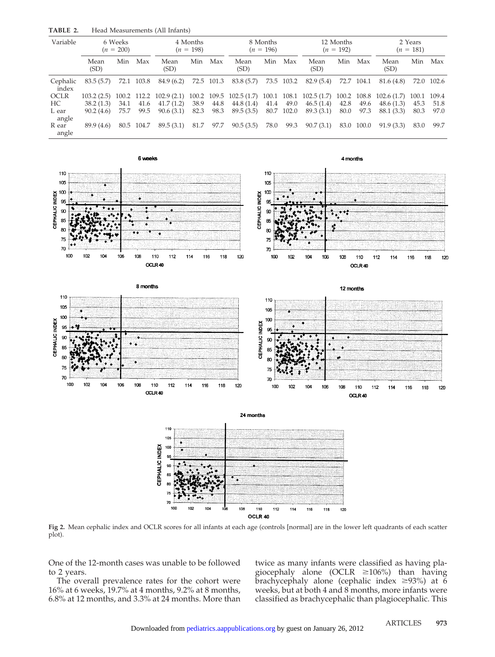| Variable          |              | 6 Weeks<br>$(n = 200)$ |            | 4 Months<br>$(n = 198)$   |      | 8 Months<br>$(n = 196)$ |                                                                 | 12 Months<br>$(n = 192)$ |            | 2 Years<br>$(n = 181)$ |      |            |                                         |      |            |
|-------------------|--------------|------------------------|------------|---------------------------|------|-------------------------|-----------------------------------------------------------------|--------------------------|------------|------------------------|------|------------|-----------------------------------------|------|------------|
|                   | Mean<br>(SD) | Min                    | Max        | Mean<br>(SD)              | Min  | Max                     | Mean<br>(SD)                                                    | Min                      | Max        | Mean<br>(SD)           | Min  | Max        | Mean<br>(SD)                            | Min  | Max        |
| Cephalic<br>index | 83.5(5.7)    |                        | 72.1 103.8 | 84.9 (6.2)                |      | 72.5 101.3              | 83.8 (5.7)                                                      |                          | 73.5 103.2 | 82.9 (5.4)             |      | 72.7 104.1 | 81.6 (4.8)                              |      | 72.0 102.6 |
| OCLR              | 103.2(2.5)   |                        |            | $100.2$ 112.2 102.9 (2.1) |      |                         | $100.2$ $109.5$ $102.5$ $(1.7)$ $100.1$ $108.1$ $102.5$ $(1.7)$ |                          |            |                        |      |            | $100.2$ $108.8$ $102.6$ $(1.7)$ $100.1$ |      | 109.4      |
| HC.               | 38.2(1.3)    | 34.1                   | 41.6       | 41.7(1.2)                 | 38.9 | 44.8                    | 44.8(1.4)                                                       | 41.4                     | 49.0       | 46.5(1.4)              | 42.8 | 49.6       | 48.6(1.3)                               | 45.3 | 51.8       |
| L ear<br>angle    | 90.2(4.6)    | 75.7                   | 99.5       | 90.6(3.1)                 | 82.3 | 98.3                    | 89.5(3.5)                                                       |                          | 80.7 102.0 | 89.3 (3.1)             | 80.0 | 97.3       | 88.1 (3.3)                              | 80.3 | 97.0       |
| R ear<br>angle    | 89.9 (4.6)   |                        | 80.5 104.7 | 89.5(3.1)                 | 81.7 | 97.7                    | 90.5(3.5)                                                       | 78.0                     | 99.3       | 90.7(3.1)              | 83.0 | 100.0      | 91.9(3.3)                               | 83.0 | 99.7       |

**TABLE 2.** Head Measurements (All Infants)



**Fig 2.** Mean cephalic index and OCLR scores for all infants at each age (controls [normal] are in the lower left quadrants of each scatter plot).

OCLR 40

One of the 12-month cases was unable to be followed to 2 years.

The overall prevalence rates for the cohort were 16% at 6 weeks, 19.7% at 4 months, 9.2% at 8 months, 6.8% at 12 months, and 3.3% at 24 months. More than twice as many infants were classified as having plagiocephaly alone (OCLR  $\geq 106\%$ ) than having brachycephaly alone (cephalic index  $\geq$ 93%) at 6 weeks, but at both 4 and 8 months, more infants were classified as brachycephalic than plagiocephalic. This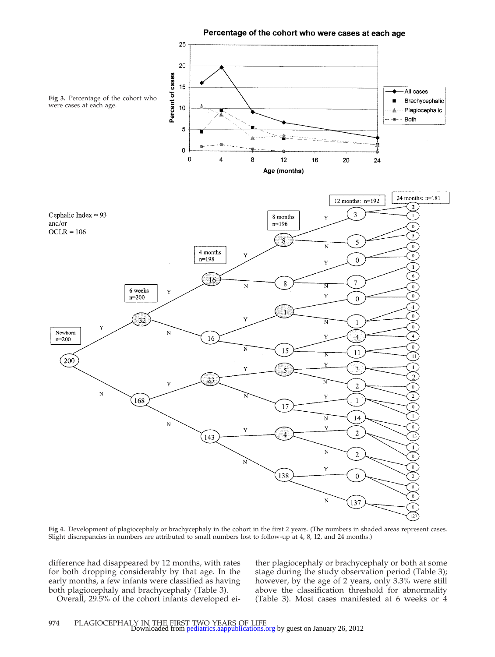Percentage of the cohort who were cases at each age



**Fig 4.** Development of plagiocephaly or brachycephaly in the cohort in the first 2 years. (The numbers in shaded areas represent cases. Slight discrepancies in numbers are attributed to small numbers lost to follow-up at 4, 8, 12, and 24 months.)

difference had disappeared by 12 months, with rates for both dropping considerably by that age. In the early months, a few infants were classified as having both plagiocephaly and brachycephaly (Table 3).

Overall, 29.5% of the cohort infants developed ei-

ther plagiocephaly or brachycephaly or both at some stage during the study observation period (Table 3); however, by the age of 2 years, only 3.3% were still above the classification threshold for abnormality (Table 3). Most cases manifested at 6 weeks or 4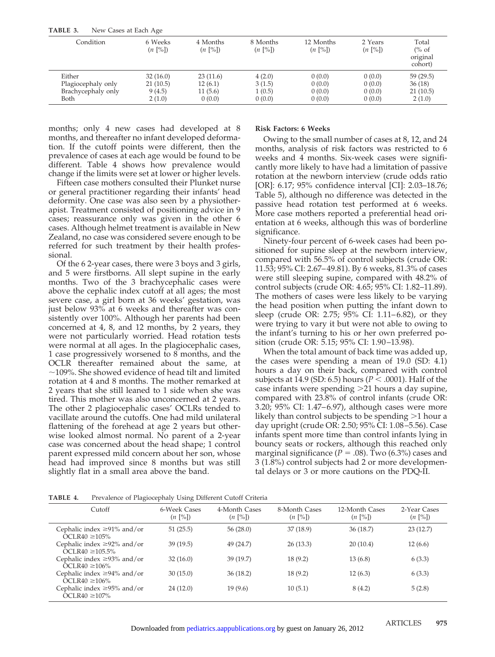| TABLE 3.<br>New Cases at Each Age |                                               |                                                |                                                |                                                 |                                               |                                                  |
|-----------------------------------|-----------------------------------------------|------------------------------------------------|------------------------------------------------|-------------------------------------------------|-----------------------------------------------|--------------------------------------------------|
| Condition                         | 6 Weeks<br>$(n \, \lceil \frac{9}{6} \rceil)$ | 4 Months<br>$(n \, \lceil \frac{9}{6} \rceil)$ | 8 Months<br>$(n \, \lceil \frac{9}{6} \rceil)$ | 12 Months<br>$(n \, \lceil \frac{9}{6} \rceil)$ | 2 Years<br>$(n \, \lceil \frac{9}{6} \rceil)$ | Total<br>$\frac{6}{6}$ of<br>original<br>cohort) |
| Either                            | 32(16.0)                                      | 23(11.6)                                       | 4(2.0)                                         | 0(0.0)                                          | 0(0.0)                                        | 59(29.5)                                         |
| Plagiocephaly only                | 21(10.5)                                      | 12(6.1)                                        | 3(1.5)                                         | 0(0.0)                                          | 0(0.0)                                        | 36(18)                                           |
| Brachycephaly only                | 9(4.5)                                        | 11(5.6)                                        | 1(0.5)                                         | 0(0.0)                                          | 0(0.0)                                        | 21(10.5)                                         |
| Both                              | 2(1.0)                                        | 0(0.0)                                         | 0(0.0)                                         | 0(0.0)                                          | 0(0.0)                                        | 2(1.0)                                           |

months; only 4 new cases had developed at 8 months, and thereafter no infant developed deformation. If the cutoff points were different, then the prevalence of cases at each age would be found to be different. Table 4 shows how prevalence would change if the limits were set at lower or higher levels.

Fifteen case mothers consulted their Plunket nurse or general practitioner regarding their infants' head deformity. One case was also seen by a physiotherapist. Treatment consisted of positioning advice in 9 cases; reassurance only was given in the other 6 cases. Although helmet treatment is available in New Zealand, no case was considered severe enough to be referred for such treatment by their health professional.

Of the 6 2-year cases, there were 3 boys and 3 girls, and 5 were firstborns. All slept supine in the early months. Two of the 3 brachycephalic cases were above the cephalic index cutoff at all ages; the most severe case, a girl born at 36 weeks' gestation, was just below 93% at 6 weeks and thereafter was consistently over 100%. Although her parents had been concerned at 4, 8, and 12 months, by 2 years, they were not particularly worried. Head rotation tests were normal at all ages. In the plagiocephalic cases, 1 case progressively worsened to 8 months, and the OCLR thereafter remained about the same, at  $\sim$ 109%. She showed evidence of head tilt and limited rotation at 4 and 8 months. The mother remarked at 2 years that she still leaned to 1 side when she was tired. This mother was also unconcerned at 2 years. The other 2 plagiocephalic cases' OCLRs tended to vacillate around the cutoffs. One had mild unilateral flattening of the forehead at age 2 years but otherwise looked almost normal. No parent of a 2-year case was concerned about the head shape; 1 control parent expressed mild concern about her son, whose head had improved since 8 months but was still slightly flat in a small area above the band.

#### **Risk Factors: 6 Weeks**

Owing to the small number of cases at 8, 12, and 24 months, analysis of risk factors was restricted to 6 weeks and 4 months. Six-week cases were significantly more likely to have had a limitation of passive rotation at the newborn interview (crude odds ratio [OR]: 6.17; 95% confidence interval [CI]: 2.03–18.76; Table 5), although no difference was detected in the passive head rotation test performed at 6 weeks. More case mothers reported a preferential head orientation at 6 weeks, although this was of borderline significance.

Ninety-four percent of 6-week cases had been positioned for supine sleep at the newborn interview, compared with 56.5% of control subjects (crude OR: 11.53; 95% CI: 2.67–49.81). By 6 weeks, 81.3% of cases were still sleeping supine, compared with 48.2% of control subjects (crude OR: 4.65; 95% CI: 1.82–11.89). The mothers of cases were less likely to be varying the head position when putting the infant down to sleep (crude OR: 2.75; 95% CI: 1.11–6.82), or they were trying to vary it but were not able to owing to the infant's turning to his or her own preferred position (crude OR: 5.15; 95% CI: 1.90–13.98).

When the total amount of back time was added up, the cases were spending a mean of 19.0 (SD: 4.1) hours a day on their back, compared with control subjects at 14.9 (SD: 6.5) hours ( $P < .0001$ ). Half of the case infants were spending  $>$ 21 hours a day supine, compared with 23.8% of control infants (crude OR: 3.20; 95% CI: 1.47–6.97), although cases were more likely than control subjects to be spending  $>1$  hour a day upright (crude OR: 2.50; 95% CI: 1.08–5.56). Case infants spent more time than control infants lying in bouncy seats or rockers, although this reached only marginal significance ( $P = .08$ ). Two (6.3%) cases and 3 (1.8%) control subjects had 2 or more developmental delays or 3 or more cautions on the PDQ-II.

**TABLE 4.** Prevalence of Plagiocephaly Using Different Cutoff Criteria

| Cutoff                                                   | 6-Week Cases<br>$(n \, [\%])$ | 4-Month Cases<br>$(n \, [\%])$ | 8-Month Cases<br>$(n \, [\%])$ | 12-Month Cases<br>$(n \, [\%])$ | 2-Year Cases<br>$(n \ [\%])$ |
|----------------------------------------------------------|-------------------------------|--------------------------------|--------------------------------|---------------------------------|------------------------------|
| Cephalic index $\geq$ 91% and/or<br>OCLR40 $\geq$ 105%   | 51(25.5)                      | 56(28.0)                       | 37 (18.9)                      | 36(18.7)                        | 23(12.7)                     |
| Cephalic index $\geq$ 92% and/or<br>$OCLR40 \ge 105.5\%$ | 39(19.5)                      | 49 (24.7)                      | 26(13.3)                       | 20(10.4)                        | 12(6.6)                      |
| Cephalic index $\geq$ 93% and/or<br>OCLR40 $\geq$ 106%   | 32(16.0)                      | 39(19.7)                       | 18(9.2)                        | 13 (6.8)                        | 6(3.3)                       |
| Cephalic index $\geq$ 94% and/or<br>$OCLR40 \ge 106\%$   | 30(15.0)                      | 36(18.2)                       | 18(9.2)                        | 12(6.3)                         | 6(3.3)                       |
| Cephalic index $\geq$ 95% and/or<br>$OCLR40 \ge 107\%$   | 24(12.0)                      | 19(9.6)                        | 10(5.1)                        | 8(4.2)                          | 5(2.8)                       |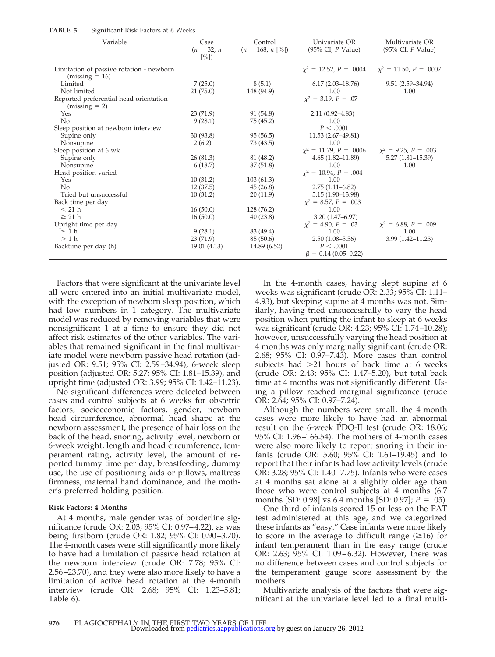| TABLE 5. | Significant Risk Factors at 6 Weeks |  |  |  |  |  |
|----------|-------------------------------------|--|--|--|--|--|
|----------|-------------------------------------|--|--|--|--|--|

| $\bm{\cup}$<br>Variable                                      | Case<br>$(n = 32; n)$<br>[%] | Control<br>$(n = 168; n \le 0)$ | Univariate OR<br>$(95\% \text{ CI}, P \text{ Value})$ | Multivariate OR<br>$(95\% \text{ CI}, P \text{ Value})$ |
|--------------------------------------------------------------|------------------------------|---------------------------------|-------------------------------------------------------|---------------------------------------------------------|
| Limitation of passive rotation - newborn<br>$(missing = 16)$ |                              |                                 | $x^2 = 12.52, P = .0004$                              | $\chi^2 = 11.50, P = .0007$                             |
| Limited                                                      | 7(25.0)                      | 8(5.1)                          | $6.17(2.03 - 18.76)$                                  | $9.51(2.59 - 34.94)$                                    |
| Not limited                                                  | 21(75.0)                     | 148 (94.9)                      | 1.00                                                  | 1.00                                                    |
| Reported preferential head orientation                       |                              |                                 | $x^2 = 3.19, P = .07$                                 |                                                         |
| $(missing = 2)$<br>Yes                                       | 23(71.9)                     | 91 (54.8)                       | $2.11(0.92 - 4.83)$                                   |                                                         |
| No                                                           | 9(28.1)                      | 75(45.2)                        | 1.00                                                  |                                                         |
| Sleep position at newborn interview                          |                              |                                 | P < .0001                                             |                                                         |
| Supine only                                                  | 30(93.8)                     | 95(56.5)                        | 11.53 (2.67-49.81)                                    |                                                         |
| Nonsupine                                                    | 2(6.2)                       | 73 (43.5)                       | 1.00                                                  |                                                         |
| Sleep position at 6 wk                                       |                              |                                 | $\chi^2 = 11.79, P = .0006$                           | $x^2 = 9.25$ , $P = .003$                               |
| Supine only                                                  | 26(81.3)                     | 81 (48.2)                       | $4.65(1.82 - 11.89)$                                  | $5.27(1.81 - 15.39)$                                    |
| Nonsupine                                                    | 6(18.7)                      | 87 (51.8)                       | 1.00                                                  | 1.00                                                    |
| Head position varied                                         |                              |                                 | $\chi^2 = 10.94, P = .004$                            |                                                         |
| Yes                                                          | 10(31.2)                     | 103(61.3)                       | 1.00                                                  |                                                         |
| No                                                           | 12(37.5)                     | 45(26.8)                        | $2.75(1.11 - 6.82)$                                   |                                                         |
| Tried but unsuccessful                                       | 10(31.2)                     | 20(11.9)                        | $5.15(1.90-13.98)$                                    |                                                         |
| Back time per day                                            |                              |                                 | $\chi^2 = 8.57, P = .003$                             |                                                         |
| $<$ 21 h                                                     | 16(50.0)                     | 128 (76.2)                      | 1.00                                                  |                                                         |
| $\geq$ 21 h                                                  | 16(50.0)                     | 40(23.8)                        | $3.20(1.47 - 6.97)$                                   |                                                         |
| Upright time per day                                         |                              |                                 | $\chi^2 = 4.90, P = .03$                              | $\chi^2 = 6.88, P = .009$                               |
| $\leq 1 h$                                                   | 9(28.1)                      | 83 (49.4)                       | 1.00                                                  | 1.00                                                    |
| $>1$ h                                                       | 23(71.9)                     | 85 (50.6)                       | $2.50(1.08 - 5.56)$                                   | $3.99(1.42 - 11.23)$                                    |
| Backtime per day (h)                                         | 19.01 (4.13)                 | 14.89 (6.52)                    | P < .0001                                             |                                                         |
|                                                              |                              |                                 | $\beta = 0.14(0.05 - 0.22)$                           |                                                         |

Factors that were significant at the univariate level all were entered into an initial multivariate model, with the exception of newborn sleep position, which had low numbers in 1 category. The multivariate model was reduced by removing variables that were nonsignificant 1 at a time to ensure they did not affect risk estimates of the other variables. The variables that remained significant in the final multivariate model were newborn passive head rotation (adjusted OR: 9.51; 95% CI: 2.59–34.94), 6-week sleep position (adjusted OR: 5.27; 95% CI: 1.81–15.39), and upright time (adjusted OR: 3.99; 95% CI: 1.42–11.23).

No significant differences were detected between cases and control subjects at 6 weeks for obstetric factors, socioeconomic factors, gender, newborn head circumference, abnormal head shape at the newborn assessment, the presence of hair loss on the back of the head, snoring, activity level, newborn or 6-week weight, length and head circumference, temperament rating, activity level, the amount of reported tummy time per day, breastfeeding, dummy use, the use of positioning aids or pillows, mattress firmness, maternal hand dominance, and the mother's preferred holding position.

#### **Risk Factors: 4 Months**

At 4 months, male gender was of borderline significance (crude OR: 2.03; 95% CI: 0.97–4.22), as was being firstborn (crude OR: 1.82; 95% CI: 0.90–3.70). The 4-month cases were still significantly more likely to have had a limitation of passive head rotation at the newborn interview (crude OR: 7.78; 95% CI: 2.56–23.70), and they were also more likely to have a limitation of active head rotation at the 4-month interview (crude OR: 2.68; 95% CI: 1.23–5.81; Table 6).

In the 4-month cases, having slept supine at 6 weeks was significant (crude OR: 2.33; 95% CI: 1.11– 4.93), but sleeping supine at 4 months was not. Similarly, having tried unsuccessfully to vary the head position when putting the infant to sleep at 6 weeks was significant (crude OR: 4.23; 95% CI: 1.74–10.28); however, unsuccessfully varying the head position at 4 months was only marginally significant (crude OR: 2.68; 95% CI: 0.97–7.43). More cases than control subjects had  $>21$  hours of back time at 6 weeks (crude OR: 2.43; 95% CI: 1.47–5.20), but total back time at 4 months was not significantly different. Using a pillow reached marginal significance (crude OR: 2.64; 95% CI: 0.97–7.24).

Although the numbers were small, the 4-month cases were more likely to have had an abnormal result on the 6-week PDQ-II test (crude OR: 18.06; 95% CI: 1.96–166.54). The mothers of 4-month cases were also more likely to report snoring in their infants (crude OR: 5.60; 95% CI: 1.61–19.45) and to report that their infants had low activity levels (crude OR: 3.28; 95% CI: 1.40–7.75). Infants who were cases at 4 months sat alone at a slightly older age than those who were control subjects at 4 months (6.7 months [SD: 0.98] vs 6.4 months [SD: 0.97];  $P = .05$ ).

One third of infants scored 15 or less on the PAT test administered at this age, and we categorized these infants as "easy." Case infants were more likely to score in the average to difficult range  $(\geq 16)$  for infant temperament than in the easy range (crude OR: 2.63; 95% CI: 1.09–6.32). However, there was no difference between cases and control subjects for the temperament gauge score assessment by the mothers.

Multivariate analysis of the factors that were significant at the univariate level led to a final multi-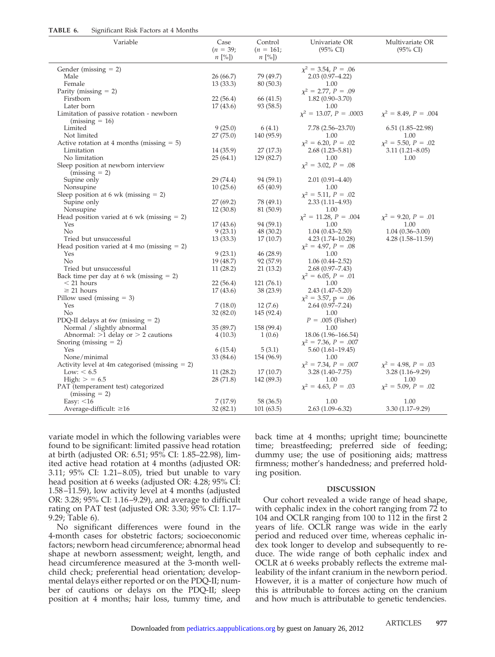| TABLE 6. | Significant Risk Factors at 4 Months |  |
|----------|--------------------------------------|--|
|----------|--------------------------------------|--|

| Variable                                          | Case       | Control     | Univariate OR              | Multivariate OR          |
|---------------------------------------------------|------------|-------------|----------------------------|--------------------------|
|                                                   | $(n = 39;$ | $(n = 161;$ | $(95\% \text{ CI})$        | $(95\% \text{ CI})$      |
|                                                   | $n$ [%])   | $n$ [%])    |                            |                          |
| Gender ( $missing = 2$ )                          |            |             | $x^2 = 3.54, P = .06$      |                          |
| Male                                              | 26 (66.7)  | 79 (49.7)   | $2.03(0.97 - 4.22)$        |                          |
| Female                                            | 13(33.3)   | 80 (50.3)   | 1.00                       |                          |
| Parity (missing $= 2$ )                           |            |             | $\chi^2 = 2.77, P = .09$   |                          |
| Firstborn                                         | 22(56.4)   | 66 (41.5)   | $1.82(0.90 - 3.70)$        |                          |
| Later born                                        | 17(43.6)   | 93 (58.5)   | 1.00                       |                          |
| Limitation of passive rotation - newborn          |            |             | $x^2 = 13.07, P = .0003$   | $x^2 = 8.49, P = .004$   |
| $(missing = 16)$                                  |            |             |                            |                          |
| Limited                                           | 9(25.0)    | 6(4.1)      | 7.78 (2.56-23.70)          | $6.51(1.85-22.98)$       |
| Not limited                                       | 27(75.0)   | 140 (95.9)  | 1.00                       | 1.00                     |
| Active rotation at 4 months (missing $= 5$ )      |            |             | $\chi^2 = 6.20, P = .02$   | $\chi^2 = 5.50, P = .02$ |
| Limitation                                        | 14 (35.9)  | 27(17.3)    | $2.68(1.23 - 5.81)$        | $3.11(1.21 - 8.05)$      |
| No limitation                                     | 25(64.1)   | 129 (82.7)  | 1.00                       | 1.00                     |
| Sleep position at newborn interview               |            |             | $x^2 = 3.02, P = .08$      |                          |
| $(missing = 2)$                                   |            |             |                            |                          |
| Supine only                                       | 29 (74.4)  | 94 (59.1)   | $2.01(0.91 - 4.40)$        |                          |
| Nonsupine                                         | 10(25.6)   | 65 (40.9)   | 1.00                       |                          |
| Sleep position at 6 wk (missing $= 2$ )           |            |             | $\chi^2 = 5.11, P = .02$   |                          |
| Supine only                                       | 27(69.2)   | 78 (49.1)   | $2.33(1.11-4.93)$          |                          |
| Nonsupine                                         | 12(30.8)   | 81 (50.9)   | 1.00                       |                          |
| Head position varied at 6 wk (missing $= 2$ )     |            |             | $\chi^2 = 11.28, P = .004$ | $\chi^2 = 9.20, P = .01$ |
| Yes                                               | 17(43.6)   | 94 (59.1)   | 1.00                       | 1.00                     |
| No                                                | 9(23.1)    | 48 (30.2)   | $1.04(0.43 - 2.50)$        | $1.04(0.36 - 3.00)$      |
| Tried but unsuccessful                            | 13(33.3)   | 17(10.7)    | $4.23(1.74 - 10.28)$       | $4.28(1.58-11.59)$       |
| Head position varied at 4 mo (missing $= 2$ )     |            |             | $\chi^2 = 4.97, P = .08$   |                          |
| Yes                                               | 9(23.1)    | 46 (28.9)   | 1.00                       |                          |
| No                                                | 19 (48.7)  | 92 (57.9)   | $1.06(0.44 - 2.52)$        |                          |
| Tried but unsuccessful                            | 11(28.2)   | 21(13.2)    | $2.68(0.97 - 7.43)$        |                          |
| Back time per day at 6 wk (missing $= 2$ )        |            |             | $\chi^2 = 6.05, P = .01$   |                          |
| $<$ 21 hours                                      | 22(56.4)   | 121(76.1)   | 1.00                       |                          |
| $\geq$ 21 hours                                   | 17(43.6)   | 38 (23.9)   | $2.43(1.47 - 5.20)$        |                          |
| Pillow used (missing $=$ 3)                       |            |             | $\chi^2 = 3.57$ , p = .06  |                          |
| Yes                                               | 7(18.0)    | 12(7.6)     | $2.64(0.97 - 7.24)$        |                          |
| No                                                | 32(82.0)   | 145 (92.4)  | 1.00                       |                          |
| PDQ-II delays at 6w (missing $= 2$ )              |            |             | $P = .005$ (Fisher)        |                          |
| Normal / slightly abnormal                        | 35 (89.7)  | 158 (99.4)  | 1.00                       |                          |
| Abnormal: $>1$ delay or $> 2$ cautions            | 4(10.3)    | 1(0.6)      | 18.06 (1.96–166.54)        |                          |
| Snoring (missing $= 2$ )                          |            |             | $\chi^2 = 7.36, P = .007$  |                          |
| Yes                                               | 6(15.4)    | 5(3.1)      | $5.60(1.61 - 19.45)$       |                          |
| None/minimal                                      | 33 (84.6)  | 154 (96.9)  | 1.00                       |                          |
| Activity level at 4m categorised (missing $= 2$ ) |            |             | $\chi^2 = 7.34, P = .007$  | $x^2 = 4.98, P = .03$    |
| Low: $< 6.5$                                      | 11(28.2)   | 17(10.7)    | $3.28(1.40 - 7.75)$        | $3.28(1.16-9.29)$        |
| High: $> 6.5$                                     | 28 (71.8)  | 142 (89.3)  | 1.00                       | 1.00                     |
| PAT (temperament test) categorized                |            |             | $\chi^2 = 4.63, P = .03$   | $\chi^2 = 5.09, P = .02$ |
| $(missing = 2)$                                   |            |             |                            |                          |
| Easy: $<$ 16                                      | 7(17.9)    | 58 (36.5)   | 1.00                       | 1.00                     |
| Average-difficult: $\geq 16$                      | 32(82.1)   | 101(63.5)   | $2.63(1.09 - 6.32)$        | $3.30(1.17-9.29)$        |

variate model in which the following variables were found to be significant: limited passive head rotation at birth (adjusted OR: 6.51; 95% CI: 1.85–22.98), limited active head rotation at 4 months (adjusted OR: 3.11; 95% CI: 1.21–8.05), tried but unable to vary head position at 6 weeks (adjusted OR: 4.28; 95% CI: 1.58–11.59), low activity level at 4 months (adjusted OR: 3.28; 95% CI: 1.16–9.29), and average to difficult rating on PAT test (adjusted OR: 3.30; 95% CI: 1.17– 9.29; Table 6).

No significant differences were found in the 4-month cases for obstetric factors; socioeconomic factors; newborn head circumference; abnormal head shape at newborn assessment; weight, length, and head circumference measured at the 3-month wellchild check; preferential head orientation; developmental delays either reported or on the PDQ-II; number of cautions or delays on the PDQ-II; sleep position at 4 months; hair loss, tummy time, and back time at 4 months; upright time; bouncinette time; breastfeeding; preferred side of feeding; dummy use; the use of positioning aids; mattress firmness; mother's handedness; and preferred holding position.

#### **DISCUSSION**

Our cohort revealed a wide range of head shape, with cephalic index in the cohort ranging from 72 to 104 and OCLR ranging from 100 to 112 in the first 2 years of life. OCLR range was wide in the early period and reduced over time, whereas cephalic index took longer to develop and subsequently to reduce. The wide range of both cephalic index and OCLR at 6 weeks probably reflects the extreme malleability of the infant cranium in the newborn period. However, it is a matter of conjecture how much of this is attributable to forces acting on the cranium and how much is attributable to genetic tendencies.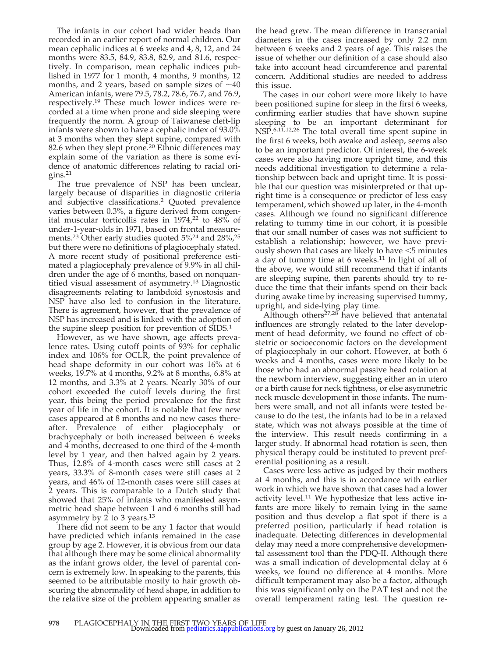The infants in our cohort had wider heads than recorded in an earlier report of normal children. Our mean cephalic indices at 6 weeks and 4, 8, 12, and 24 months were 83.5, 84.9, 83.8, 82.9, and 81.6, respectively. In comparison, mean cephalic indices published in 1977 for 1 month, 4 months, 9 months, 12 months, and 2 years, based on sample sizes of  $\sim$ 40 American infants, were 79.5, 78.2, 78.6, 76.7, and 76.9, respectively.19 These much lower indices were recorded at a time when prone and side sleeping were frequently the norm. A group of Taiwanese cleft-lip infants were shown to have a cephalic index of 93.0% at 3 months when they slept supine, compared with 82.6 when they slept prone.<sup>20</sup> Ethnic differences may explain some of the variation as there is some evidence of anatomic differences relating to racial ori $gins.<sup>21</sup>$ 

The true prevalence of NSP has been unclear, largely because of disparities in diagnostic criteria and subjective classifications.2 Quoted prevalence varies between 0.3%, a figure derived from congenital muscular torticollis rates in  $1974<sub>1</sub><sup>22</sup>$  to  $48\%$  of under-1-year-olds in 1971, based on frontal measurements.23 Other early studies quoted 5%24 and 28%,25 but there were no definitions of plagiocephaly stated. A more recent study of positional preference estimated a plagiocephaly prevalence of 9.9% in all children under the age of 6 months, based on nonquantified visual assessment of asymmetry.13 Diagnostic disagreements relating to lambdoid synostosis and NSP have also led to confusion in the literature. There is agreement, however, that the prevalence of NSP has increased and is linked with the adoption of the supine sleep position for prevention of SIDS.<sup>1</sup>

However, as we have shown, age affects prevalence rates. Using cutoff points of 93% for cephalic index and 106% for OCLR, the point prevalence of head shape deformity in our cohort was 16% at 6 weeks, 19.7% at 4 months, 9.2% at 8 months, 6.8% at 12 months, and 3.3% at 2 years. Nearly 30% of our cohort exceeded the cutoff levels during the first year, this being the period prevalence for the first year of life in the cohort. It is notable that few new cases appeared at 8 months and no new cases thereafter. Prevalence of either plagiocephaly or brachycephaly or both increased between 6 weeks and 4 months, decreased to one third of the 4-month level by 1 year, and then halved again by 2 years. Thus, 12.8% of 4-month cases were still cases at 2 years, 33.3% of 8-month cases were still cases at 2 years, and 46% of 12-month cases were still cases at 2 years. This is comparable to a Dutch study that showed that 25% of infants who manifested asymmetric head shape between 1 and 6 months still had asymmetry by 2 to 3 years.13

There did not seem to be any 1 factor that would have predicted which infants remained in the case group by age 2. However, it is obvious from our data that although there may be some clinical abnormality as the infant grows older, the level of parental concern is extremely low. In speaking to the parents, this seemed to be attributable mostly to hair growth obscuring the abnormality of head shape, in addition to the relative size of the problem appearing smaller as the head grew. The mean difference in transcranial diameters in the cases increased by only 2.2 mm between 6 weeks and 2 years of age. This raises the issue of whether our definition of a case should also take into account head circumference and parental concern. Additional studies are needed to address this issue.

The cases in our cohort were more likely to have been positioned supine for sleep in the first 6 weeks, confirming earlier studies that have shown supine sleeping to be an important determinant for NSP.<sup>6,11,12,26</sup> The total overall time spent supine in the first 6 weeks, both awake and asleep, seems also to be an important predictor. Of interest, the 6-week cases were also having more upright time, and this needs additional investigation to determine a relationship between back and upright time. It is possible that our question was misinterpreted or that upright time is a consequence or predictor of less easy temperament, which showed up later, in the 4-month cases. Although we found no significant difference relating to tummy time in our cohort, it is possible that our small number of cases was not sufficient to establish a relationship; however, we have previously shown that cases are likely to have  $\leq$ 5 minutes a day of tummy time at 6 weeks.<sup>11</sup> In light of all of the above, we would still recommend that if infants are sleeping supine, then parents should try to reduce the time that their infants spend on their back during awake time by increasing supervised tummy, upright, and side-lying play time.

Although others $27.28$  have believed that antenatal influences are strongly related to the later development of head deformity, we found no effect of obstetric or socioeconomic factors on the development of plagiocephaly in our cohort. However, at both 6 weeks and 4 months, cases were more likely to be those who had an abnormal passive head rotation at the newborn interview, suggesting either an in utero or a birth cause for neck tightness, or else asymmetric neck muscle development in those infants. The numbers were small, and not all infants were tested because to do the test, the infants had to be in a relaxed state, which was not always possible at the time of the interview. This result needs confirming in a larger study. If abnormal head rotation is seen, then physical therapy could be instituted to prevent preferential positioning as a result.

Cases were less active as judged by their mothers at 4 months, and this is in accordance with earlier work in which we have shown that cases had a lower activity level.<sup>11</sup> We hypothesize that less active infants are more likely to remain lying in the same position and thus develop a flat spot if there is a preferred position, particularly if head rotation is inadequate. Detecting differences in developmental delay may need a more comprehensive developmental assessment tool than the PDQ-II. Although there was a small indication of developmental delay at 6 weeks, we found no difference at 4 months. More difficult temperament may also be a factor, although this was significant only on the PAT test and not the overall temperament rating test. The question re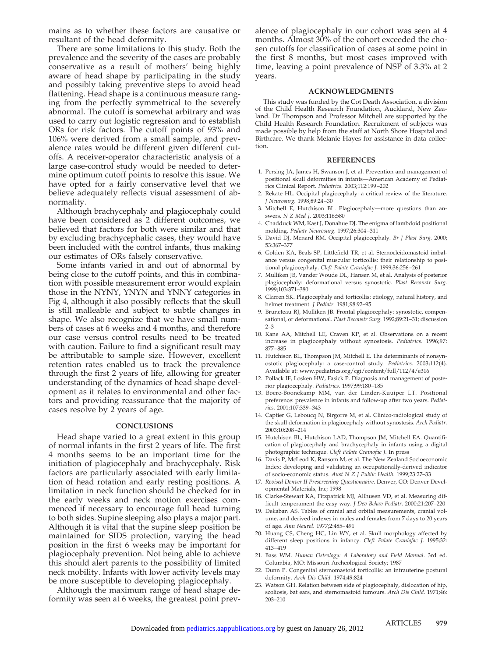mains as to whether these factors are causative or resultant of the head deformity.

There are some limitations to this study. Both the prevalence and the severity of the cases are probably conservative as a result of mothers' being highly aware of head shape by participating in the study and possibly taking preventive steps to avoid head flattening. Head shape is a continuous measure ranging from the perfectly symmetrical to the severely abnormal. The cutoff is somewhat arbitrary and was used to carry out logistic regression and to establish ORs for risk factors. The cutoff points of 93% and 106% were derived from a small sample, and prevalence rates would be different given different cutoffs. A receiver-operator characteristic analysis of a large case-control study would be needed to determine optimum cutoff points to resolve this issue. We have opted for a fairly conservative level that we believe adequately reflects visual assessment of abnormality.

Although brachycephaly and plagiocephaly could have been considered as 2 different outcomes, we believed that factors for both were similar and that by excluding brachycephalic cases, they would have been included with the control infants, thus making our estimates of ORs falsely conservative.

Some infants varied in and out of abnormal by being close to the cutoff points, and this in combination with possible measurement error would explain those in the NYNY, YNYN and YNNY categories in Fig 4, although it also possibly reflects that the skull is still malleable and subject to subtle changes in shape. We also recognize that we have small numbers of cases at 6 weeks and 4 months, and therefore our case versus control results need to be treated with caution. Failure to find a significant result may be attributable to sample size. However, excellent retention rates enabled us to track the prevalence through the first 2 years of life, allowing for greater understanding of the dynamics of head shape development as it relates to environmental and other factors and providing reassurance that the majority of cases resolve by 2 years of age.

#### **CONCLUSIONS**

Head shape varied to a great extent in this group of normal infants in the first 2 years of life. The first 4 months seems to be an important time for the initiation of plagiocephaly and brachycephaly. Risk factors are particularly associated with early limitation of head rotation and early resting positions. A limitation in neck function should be checked for in the early weeks and neck motion exercises commenced if necessary to encourage full head turning to both sides. Supine sleeping also plays a major part. Although it is vital that the supine sleep position be maintained for SIDS protection, varying the head position in the first 6 weeks may be important for plagiocephaly prevention. Not being able to achieve this should alert parents to the possibility of limited neck mobility. Infants with lower activity levels may be more susceptible to developing plagiocephaly.

Although the maximum range of head shape deformity was seen at 6 weeks, the greatest point prevalence of plagiocephaly in our cohort was seen at 4 months. Almost 30% of the cohort exceeded the chosen cutoffs for classification of cases at some point in the first 8 months, but most cases improved with time, leaving a point prevalence of NSP of 3.3% at 2 years.

#### **ACKNOWLEDGMENTS**

This study was funded by the Cot Death Association, a division of the Child Health Research Foundation, Auckland, New Zealand. Dr Thompson and Professor Mitchell are supported by the Child Health Research Foundation. Recruitment of subjects was made possible by help from the staff at North Shore Hospital and Birthcare. We thank Melanie Hayes for assistance in data collection.

#### **REFERENCES**

- 1. Persing JA, James H, Swanson J, et al. Prevention and management of positional skull deformities in infants—American Academy of Pediatrics Clinical Report. *Pediatrics.* 2003;112:199–202
- 2. Rekate HL. Occipital plagiocephaly: a critical review of the literature. *J Neurosurg.* 1998;89:24–30
- 3. Mitchell E, Hutchison BL. Plagiocephaly—more questions than answers. *N Z Med J.* 2003;116:580
- 4. Chadduck WM, Kast J, Donahue DJ. The enigma of lambdoid positional molding. *Pediatr Neurosurg.* 1997;26:304–311
- 5. David DJ, Menard RM. Occipital plagiocephaly. *Br J Plast Surg.* 2000; 53:367–377
- 6. Golden KA, Beals SP, Littlefield TR, et al. Sternocleidomastoid imbalance versus congenital muscular torticollis: their relationship to positional plagiocephaly. *Cleft Palate Craniofac J.* 1999;36:256–261
- 7. Mulliken JB, Vander Woude DL, Hansen M, et al. Analysis of posterior plagiocephaly: deformational versus synostotic. *Plast Reconstr Surg.* 1999;103:371–380
- 8. Clarren SK. Plagiocephaly and torticollis: etiology, natural history, and helmet treatment. *J Pediatr.* 1981;98:92–95
- 9. Bruneteau RJ, Mulliken JB. Frontal plagiocephaly: synostotic, compensational, or deformational. *Plast Reconstr Surg.* 1992;89:21–31; discussion 2–3
- 10. Kane AA, Mitchell LE, Craven KP, et al. Observations on a recent increase in plagiocephaly without synostosis. *Pediatrics.* 1996;97: 877–885
- 11. Hutchison BL, Thompson JM, Mitchell E. The determinants of nonsynostotic plagiocephaly: a case-control study. *Pediatrics.* 2003;112(4). Available at: www.pediatrics.org/cgi/content/full/112/4/e316
- 12. Pollack IF, Losken HW, Fasick P. Diagnosis and management of posterior plagiocephaly. *Pediatrics.* 1997;99:180–185
- 13. Boere-Boonekamp MM, van der Linden-Kuuiper LT. Positional preference: prevalence in infants and follow-up after two years. *Pediatrics.* 2001;107:339–343
- 14. Captier G, Leboucq N, Birgorre M, et al. Clinico-radiological study of the skull deformation in plagiocephaly without synostosis. *Arch Pediatr.* 2003;10:208–214
- 15. Hutchison BL, Hutchison LAD, Thompson JM, Mitchell EA. Quantification of plagiocephaly and brachycephaly in infants using a digital photographic technique. *Cleft Palate Crainofac J.* In press
- 16. Davis P, McLeod K, Ransom M, et al. The New Zealand Socioeconomic Index: developing and validating an occupationally-derived indicator of socio-economic status. *Aust N Z J Public Health.* 1999;23:27–33
- 17. *Revised Denver II Prescreening Questionnaire*. Denver, CO: Denver Developmental Materials, Inc; 1998
- 18. Clarke-Stewart KA, Fitzpatrick MJ, Allhusen VD, et al. Measuring difficult temperament the easy way. *J Dev Behav Pediatr.* 2000;21:207–220
- 19. Dekaban AS. Tables of cranial and orbital measurements, cranial volume, and derived indexes in males and females from 7 days to 20 years of age. *Ann Neurol.* 1977;2:485–491
- 20. Huang CS, Cheng HC, Lin WY, et al. Skull morphology affected by different sleep positions in infancy. *Cleft Palate Craniofac J.* 1995;32: 413–419
- 21. Bass WM. *Human Osteology: A Laboratory and Field Manual*. 3rd ed. Columbia, MO: Missouri Archeological Society; 1987
- 22. Dunn P. Congenital sternomastoid torticollis: an intrauterine postural deformity. *Arch Dis Child.* 1974;49:824
- 23. Watson GH. Relation between side of plagiocephaly, dislocation of hip, scoliosis, bat ears, and sternomastoid tumours. *Arch Dis Child.* 1971;46: 203–210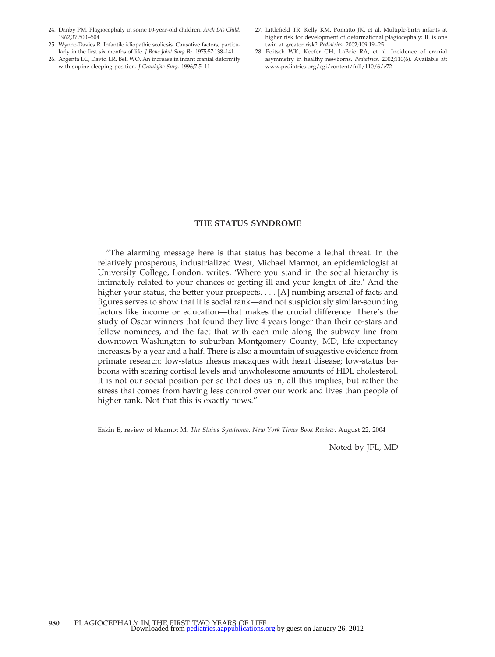- 24. Danby PM. Plagiocephaly in some 10-year-old children. *Arch Dis Child.* 1962;37:500–504
- 25. Wynne-Davies R. Infantile idiopathic scoliosis. Causative factors, particularly in the first six months of life. *J Bone Joint Surg Br.* 1975;57:138–141
- 26. Argenta LC, David LR, Bell WO. An increase in infant cranial deformity with supine sleeping position. *J Craniofac Surg.* 1996;7:5–11
- 27. Littlefield TR, Kelly KM, Pomatto JK, et al. Multiple-birth infants at higher risk for development of deformational plagiocephaly: II. is one twin at greater risk? *Pediatrics.* 2002;109:19–25
- 28. Peitsch WK, Keefer CH, LaBrie RA, et al. Incidence of cranial asymmetry in healthy newborns. *Pediatrics.* 2002;110(6). Available at: www.pediatrics.org/cgi/content/full/110/6/e72

#### **THE STATUS SYNDROME**

"The alarming message here is that status has become a lethal threat. In the relatively prosperous, industrialized West, Michael Marmot, an epidemiologist at University College, London, writes, 'Where you stand in the social hierarchy is intimately related to your chances of getting ill and your length of life.' And the higher your status, the better your prospects. . . . [A] numbing arsenal of facts and figures serves to show that it is social rank—and not suspiciously similar-sounding factors like income or education—that makes the crucial difference. There's the study of Oscar winners that found they live 4 years longer than their co-stars and fellow nominees, and the fact that with each mile along the subway line from downtown Washington to suburban Montgomery County, MD, life expectancy increases by a year and a half. There is also a mountain of suggestive evidence from primate research: low-status rhesus macaques with heart disease; low-status baboons with soaring cortisol levels and unwholesome amounts of HDL cholesterol. It is not our social position per se that does us in, all this implies, but rather the stress that comes from having less control over our work and lives than people of higher rank. Not that this is exactly news."

Eakin E, review of Marmot M. *The Status Syndrome*. *New York Times Book Review*. August 22, 2004

Noted by JFL, MD